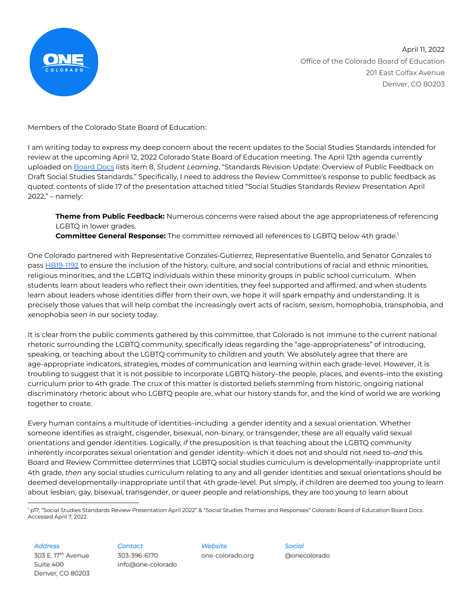

April 11, 2022 Office of the Colorado Board of Education 201 East Colfax Avenue Denver, CO 80203

Members of the Colorado State Board of Education:

I am writing today to express my deep concern about the recent updates to the Social Studies Standards intended for review at the upcoming April 12, 2022 Colorado State Board of Education meeting. The April 12th agenda currently uploaded on [Board](https://go.boarddocs.com/co/cde/Board.nsf/Public) Docs lists item 8, *Student Learning*, "Standards Revision Update: Overview of Public Feedback on Draft Social Studies Standards." Specifically, I need to address the Review Committee's response to public feedback as quoted: contents of slide 17 of the presentation attached titled "Social Studies Standards Review Presentation April 2022," – namely:

**Theme from Public Feedback:** Numerous concerns were raised about the age appropriateness of referencing LGBTQ in lower grades.

**Committee General Response:** The committee removed all references to LGBTQ below 4th grade. 1

One Colorado partnered with Representative Gonzales-Gutierrez, Representative Buentello, and Senator Gonzales to pass [HB19-1192](https://leg.colorado.gov/bills/hb19-1192) to ensure the inclusion of the history, culture, and social contributions of racial and ethnic minorities, religious minorities, and the LGBTQ individuals within these minority groups in public school curriculum. When students learn about leaders who reflect their own identities, they feel supported and affirmed, and when students learn about leaders whose identities differ from their own, we hope it will spark empathy and understanding. It is precisely those values that will help combat the increasingly overt acts of racism, sexism, homophobia, transphobia, and xenophobia seen in our society today.

It is clear from the public comments gathered by this committee, that Colorado is not immune to the current national rhetoric surrounding the LGBTQ community, specifically ideas regarding the "age-appropriateness" of introducing, speaking, or teaching about the LGBTQ community to children and youth. We absolutely agree that there are age-appropriate indicators, strategies, modes of communication and learning within each grade-level. However, it is troubling to suggest that it is not possible to incorporate LGBTQ history–the people, places, and events–into the existing curriculum prior to 4th grade. The crux of this matter is distorted beliefs stemming from historic, ongoing national discriminatory rhetoric about who LGBTQ people are, what our history stands for, and the kind of world we are working together to create.

Every human contains a multitude of identities–including a gender identity and a sexual orientation. Whether someone identifies as straight, cisgender, bisexual, non-binary, or transgender, these are all equally valid sexual orientations and gender identities. Logically, *if* the presuposition is that teaching about the LGBTQ community inherently incorporates sexual orientation and gender identity–which it does not and should not need to–*and* this Board and Review Committee determines that LGBTQ social studies curriculum is developmentally-inappropriate until 4th grade, *then* any social studies curriculum relating to any and all gender identities and sexual orientations should be deemed developmentally-inappropriate until that 4th grade-level. Put simply, if children are deemed too young to learn about lesbian, gay, bisexual, transgender, or queer people and relationships, they are too young to learn about

<sup>1</sup> p17, "Social Studies Standards Review Presentation April 2022" & "Social Studies Themes and Responses" Colorado Board of Education Board Docs. Accessed April 7, 2022.

**Address** 

303 E. 17th Avenue Suite 400 Denver, CO 80203

## Contact

303-396-6170 info@one-colorado

Website one-colorado.org Social @onecolorado